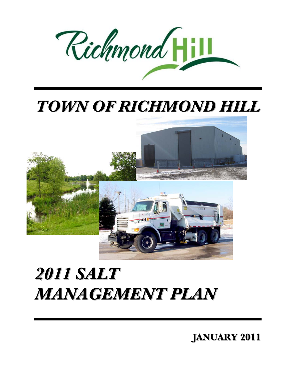

## *TOWN OF RICHMOND HILL TOWN OF RICHMOND HILL*



# *2011 SALT 2011 SALT MANAGEMENT PLAN MANAGEMENT PLAN*

**JANUARY 2011 JANUARY 2011**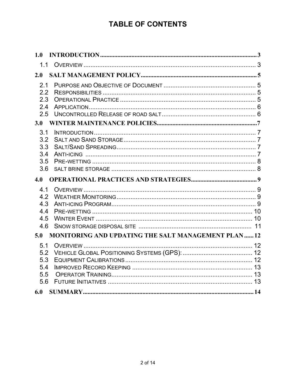## **TABLE OF CONTENTS**

| 1.0                                           |                                                           |  |
|-----------------------------------------------|-----------------------------------------------------------|--|
| 1.1                                           |                                                           |  |
| 2.0                                           |                                                           |  |
| 2.1<br>2.2<br>2.3<br>2.4<br>2.5<br>3.0        |                                                           |  |
| 3.1<br>3.2<br>3.3<br>3.4<br>3.5<br>3.6        |                                                           |  |
|                                               |                                                           |  |
| 4.0                                           |                                                           |  |
| 4.1<br>4.2<br>4.3<br>4.4<br>4.5<br>4.6        |                                                           |  |
| 5.0                                           | <b>MONITORING AND UPDATING THE SALT MANAGEMENT PLAN12</b> |  |
| 5.1<br>5.2<br>5.3<br>5.4<br>5.5<br>5.6<br>6.0 |                                                           |  |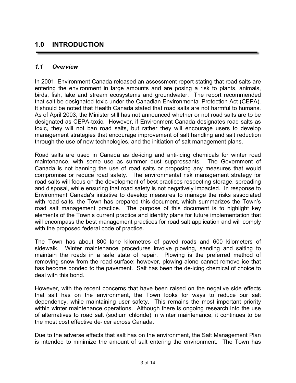## <span id="page-2-0"></span>**1.0 INTRODUCTION**

#### <span id="page-2-1"></span>*1.1 Overview*

In 2001, Environment Canada released an assessment report stating that road salts are entering the environment in large amounts and are posing a risk to plants, animals, birds, fish, lake and stream ecosystems and groundwater. The report recommended that salt be designated toxic under the Canadian Environmental Protection Act (CEPA). It should be noted that Health Canada stated that road salts are not harmful to humans. As of April 2003, the Minister still has not announced whether or not road salts are to be designated as CEPA-toxic. However, if Environment Canada designates road salts as toxic, they will not ban road salts, but rather they will encourage users to develop management strategies that encourage improvement of salt handling and salt reduction through the use of new technologies, and the initiation of salt management plans.

Road salts are used in Canada as de-icing and anti-icing chemicals for winter road maintenance, with some use as summer dust suppressants. The Government of Canada is not banning the use of road salts or proposing any measures that would compromise or reduce road safety. The environmental risk management strategy for road salts will focus on the development of best practices respecting storage, spreading and disposal, while ensuring that road safety is not negatively impacted. In response to Environment Canada's initiative to develop measures to manage the risks associated with road salts, the Town has prepared this document, which summarizes the Town's road salt management practice. The purpose of this document is to highlight key elements of the Town's current practice and identify plans for future implementation that will encompass the best management practices for road salt application and will comply with the proposed federal code of practice.

The Town has about 800 lane kilometres of paved roads and 600 kilometers of sidewalk. Winter maintenance procedures involve plowing, sanding and salting to maintain the roads in a safe state of repair. Plowing is the preferred method of removing snow from the road surface; however, plowing alone cannot remove ice that has become bonded to the pavement. Salt has been the de-icing chemical of choice to deal with this bond.

However, with the recent concerns that have been raised on the negative side effects that salt has on the environment, the Town looks for ways to reduce our salt dependency, while maintaining user safety. This remains the most important priority within winter maintenance operations. Although there is ongoing research into the use of alternatives to road salt (sodium chloride) in winter maintenance, it continues to be the most cost effective de-icer across Canada.

Due to the adverse effects that salt has on the environment, the Salt Management Plan is intended to minimize the amount of salt entering the environment. The Town has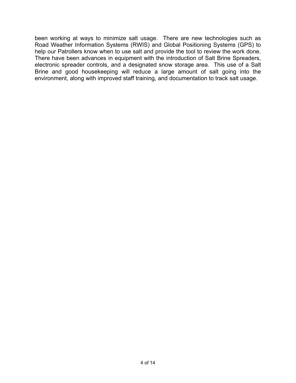been working at ways to minimize salt usage. There are new technologies such as Road Weather Information Systems (RWIS) and Global Positioning Systems (GPS) to help our Patrollers know when to use salt and provide the tool to review the work done. There have been advances in equipment with the introduction of Salt Brine Spreaders, electronic spreader controls, and a designated snow storage area. This use of a Salt Brine and good housekeeping will reduce a large amount of salt going into the environment, along with improved staff training, and documentation to track salt usage.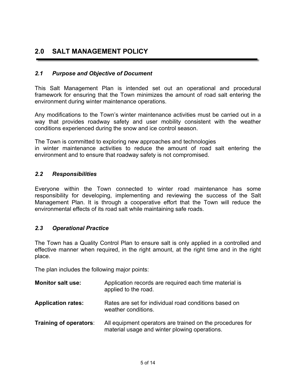## <span id="page-4-0"></span>**2.0 SALT MANAGEMENT POLICY**

## <span id="page-4-1"></span>*2.1 Purpose and Objective of Document*

This Salt Management Plan is intended set out an operational and procedural framework for ensuring that the Town minimizes the amount of road salt entering the environment during winter maintenance operations.

Any modifications to the Town's winter maintenance activities must be carried out in a way that provides roadway safety and user mobility consistent with the weather conditions experienced during the snow and ice control season.

The Town is committed to exploring new approaches and technologies in winter maintenance activities to reduce the amount of road salt entering the environment and to ensure that roadway safety is not compromised.

## <span id="page-4-2"></span>*2.2 Responsibilities*

Everyone within the Town connected to winter road maintenance has some responsibility for developing, implementing and reviewing the success of the Salt Management Plan. It is through a cooperative effort that the Town will reduce the environmental effects of its road salt while maintaining safe roads.

## <span id="page-4-3"></span>*2.3 Operational Practice*

The Town has a Quality Control Plan to ensure salt is only applied in a controlled and effective manner when required, in the right amount, at the right time and in the right place.

The plan includes the following major points:

| <b>Monitor salt use:</b>  | Application records are required each time material is<br>applied to the road.                             |
|---------------------------|------------------------------------------------------------------------------------------------------------|
| <b>Application rates:</b> | Rates are set for individual road conditions based on<br>weather conditions.                               |
| Training of operators:    | All equipment operators are trained on the procedures for<br>material usage and winter plowing operations. |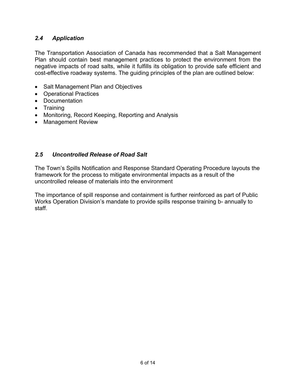## <span id="page-5-0"></span>*2.4 Application*

The Transportation Association of Canada has recommended that a Salt Management Plan should contain best management practices to protect the environment from the negative impacts of road salts, while it fulfills its obligation to provide safe efficient and cost-effective roadway systems. The guiding principles of the plan are outlined below:

- Salt Management Plan and Objectives
- Operational Practices
- Documentation
- Training
- Monitoring, Record Keeping, Reporting and Analysis
- Management Review

## <span id="page-5-1"></span>*2.5 Uncontrolled Release of Road Salt*

The Town's Spills Notification and Response Standard Operating Procedure layouts the framework for the process to mitigate environmental impacts as a result of the uncontrolled release of materials into the environment

The importance of spill response and containment is further reinforced as part of Public Works Operation Division's mandate to provide spills response training b- annually to staff.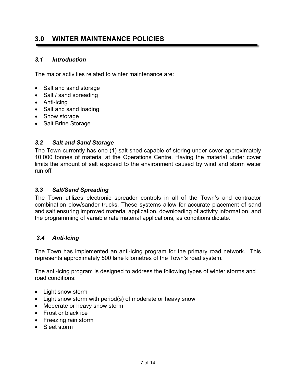## <span id="page-6-0"></span>**3.0 WINTER MAINTENANCE POLICIES**

## <span id="page-6-1"></span>*3.1 Introduction*

The major activities related to winter maintenance are:

- Salt and sand storage
- Salt / sand spreading
- Anti-Icing
- Salt and sand loading
- Snow storage
- Salt Brine Storage

## <span id="page-6-2"></span>*3.2 Salt and Sand Storage*

The Town currently has one (1) salt shed capable of storing under cover approximately 10,000 tonnes of material at the Operations Centre. Having the material under cover limits the amount of salt exposed to the environment caused by wind and storm water run off.

## <span id="page-6-3"></span>*3.3 Salt/Sand Spreading*

The Town utilizes electronic spreader controls in all of the Town's and contractor combination plow/sander trucks. These systems allow for accurate placement of sand and salt ensuring improved material application, downloading of activity information, and the programming of variable rate material applications, as conditions dictate.

#### <span id="page-6-4"></span>*3.4 Anti-Icing*

The Town has implemented an anti-icing program for the primary road network. This represents approximately 500 lane kilometres of the Town's road system.

The anti-icing program is designed to address the following types of winter storms and road conditions:

- Light snow storm
- Light snow storm with period(s) of moderate or heavy snow
- Moderate or heavy snow storm
- Frost or black ice
- Freezing rain storm
- Sleet storm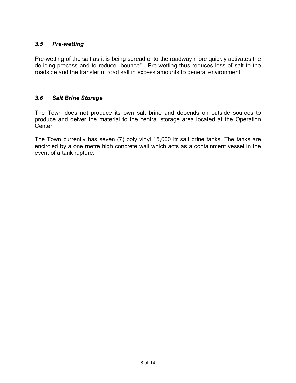## <span id="page-7-0"></span>*3.5 Pre-wetting*

Pre-wetting of the salt as it is being spread onto the roadway more quickly activates the de-icing process and to reduce "bounce". Pre-wetting thus reduces loss of salt to the roadside and the transfer of road salt in excess amounts to general environment.

## <span id="page-7-1"></span>*3.6 Salt Brine Storage*

The Town does not produce its own salt brine and depends on outside sources to produce and delver the material to the central storage area located at the Operation Center.

The Town currently has seven (7) poly vinyl 15,000 ltr salt brine tanks. The tanks are encircled by a one metre high concrete wall which acts as a containment vessel in the event of a tank rupture.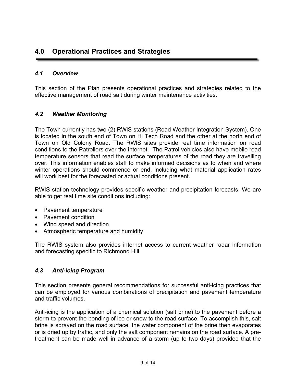## <span id="page-8-0"></span>**4.0 Operational Practices and Strategies**

## <span id="page-8-1"></span>*4.1 Overview*

This section of the Plan presents operational practices and strategies related to the effective management of road salt during winter maintenance activities.

## <span id="page-8-2"></span>*4.2 Weather Monitoring*

The Town currently has two (2) RWlS stations (Road Weather Integration System). One is located in the south end of Town on Hi Tech Road and the other at the north end of Town on Old Colony Road. The RWlS sites provide real time information on road conditions to the Patrollers over the internet. The Patrol vehicles also have mobile road temperature sensors that read the surface temperatures of the road they are travelling over. This information enables staff to make informed decisions as to when and where winter operations should commence or end, including what material application rates will work best for the forecasted or actual conditions present.

RWIS station technology provides specific weather and precipitation forecasts. We are able to get real time site conditions including:

- Pavement temperature
- Pavement condition
- Wind speed and direction
- Atmospheric temperature and humidity

The RWIS system also provides internet access to current weather radar information and forecasting specific to Richmond Hill.

#### <span id="page-8-3"></span>*4.3 Anti-icing Program*

This section presents general recommendations for successful anti-icing practices that can be employed for various combinations of precipitation and pavement temperature and traffic volumes.

Anti-icing is the application of a chemical solution (salt brine) to the pavement before a storm to prevent the bonding of ice or snow to the road surface. To accomplish this, salt brine is sprayed on the road surface, the water component of the brine then evaporates or is dried up by traffic, and only the salt component remains on the road surface. A pretreatment can be made well in advance of a storm (up to two days) provided that the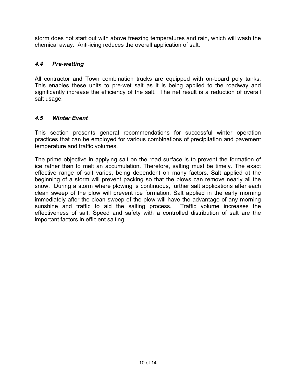storm does not start out with above freezing temperatures and rain, which will wash the chemical away. Anti-icing reduces the overall application of salt.

## <span id="page-9-0"></span>*4.4 Pre-wetting*

All contractor and Town combination trucks are equipped with on-board poly tanks. This enables these units to pre-wet salt as it is being applied to the roadway and significantly increase the efficiency of the salt. The net result is a reduction of overall salt usage.

## <span id="page-9-1"></span>*4.5 Winter Event*

This section presents general recommendations for successful winter operation practices that can be employed for various combinations of precipitation and pavement temperature and traffic volumes.

The prime objective in applying salt on the road surface is to prevent the formation of ice rather than to melt an accumulation. Therefore, salting must be timely. The exact effective range of salt varies, being dependent on many factors. Salt applied at the beginning of a storm will prevent packing so that the plows can remove nearly all the snow. During a storm where plowing is continuous, further salt applications after each clean sweep of the plow will prevent ice formation. Salt applied in the early morning immediately after the clean sweep of the plow will have the advantage of any morning sunshine and traffic to aid the salting process. Traffic volume increases the effectiveness of salt. Speed and safety with a controlled distribution of salt are the important factors in efficient salting.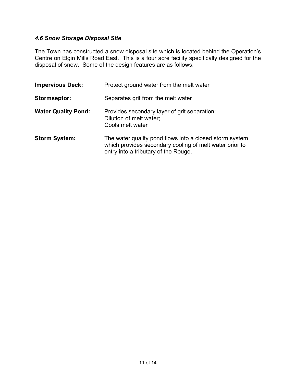## <span id="page-10-0"></span>*4.6 Snow Storage Disposal Site*

The Town has constructed a snow disposal site which is located behind the Operation's Centre on Elgin Mills Road East. This is a four acre facility specifically designed for the disposal of snow. Some of the design features are as follows:

| <b>Impervious Deck:</b>    | Protect ground water from the melt water                                                                                                                   |
|----------------------------|------------------------------------------------------------------------------------------------------------------------------------------------------------|
| Stormseptor:               | Separates grit from the melt water                                                                                                                         |
| <b>Water Quality Pond:</b> | Provides secondary layer of grit separation;<br>Dilution of melt water;<br>Cools melt water                                                                |
| <b>Storm System:</b>       | The water quality pond flows into a closed storm system<br>which provides secondary cooling of melt water prior to<br>entry into a tributary of the Rouge. |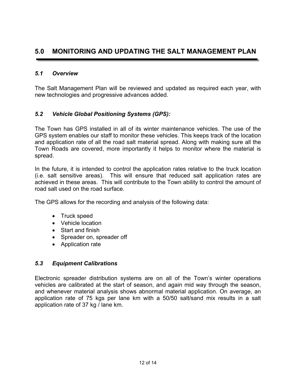## <span id="page-11-0"></span>**5.0 MONITORING AND UPDATING THE SALT MANAGEMENT PLAN**

## <span id="page-11-1"></span>*5.1 Overview*

The Salt Management Plan will be reviewed and updated as required each year, with new technologies and progressive advances added.

## <span id="page-11-2"></span>*5.2 Vehicle Global Positioning Systems (GPS):*

The Town has GPS installed in all of its winter maintenance vehicles. The use of the GPS system enables our staff to monitor these vehicles. This keeps track of the location and application rate of all the road salt material spread. Along with making sure all the Town Roads are covered, more importantly it helps to monitor where the material is spread.

In the future, it is intended to control the application rates relative to the truck location (i.e. salt sensitive areas). This will ensure that reduced salt application rates are achieved in these areas. This will contribute to the Town ability to control the amount of road salt used on the road surface.

The GPS allows for the recording and analysis of the following data:

- Truck speed
- Vehicle location
- Start and finish
- Spreader on, spreader off
- Application rate

#### <span id="page-11-3"></span>*5.3 Equipment Calibrations*

Electronic spreader distribution systems are on all of the Town's winter operations vehicles are calibrated at the start of season, and again mid way through the season, and whenever material analysis shows abnormal material application. On average, an application rate of 75 kgs per lane km with a 50/50 salt/sand mix results in a salt application rate of 37 kg / lane km.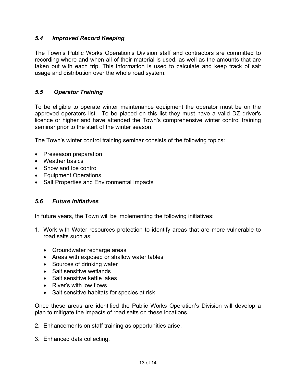## <span id="page-12-0"></span>*5.4 Improved Record Keeping*

The Town's Public Works Operation's Division staff and contractors are committed to recording where and when all of their material is used, as well as the amounts that are taken out with each trip. This information is used to calculate and keep track of salt usage and distribution over the whole road system.

## <span id="page-12-1"></span>*5.5 Operator Training*

To be eligible to operate winter maintenance equipment the operator must be on the approved operators list. To be placed on this list they must have a valid DZ driver's licence or higher and have attended the Town's comprehensive winter control training seminar prior to the start of the winter season.

The Town's winter control training seminar consists of the following topics:

- Preseason preparation
- Weather basics
- Snow and Ice control
- Equipment Operations
- Salt Properties and Environmental Impacts

#### <span id="page-12-2"></span>*5.6 Future Initiatives*

In future years, the Town will be implementing the following initiatives:

- 1. Work with Water resources protection to identify areas that are more vulnerable to road salts such as:
	- Groundwater recharge areas
	- Areas with exposed or shallow water tables
	- Sources of drinking water
	- Salt sensitive wetlands
	- Salt sensitive kettle lakes
	- River's with low flows
	- Salt sensitive habitats for species at risk

Once these areas are identified the Public Works Operation's Division will develop a plan to mitigate the impacts of road salts on these locations.

- 2. Enhancements on staff training as opportunities arise.
- 3. Enhanced data collecting.